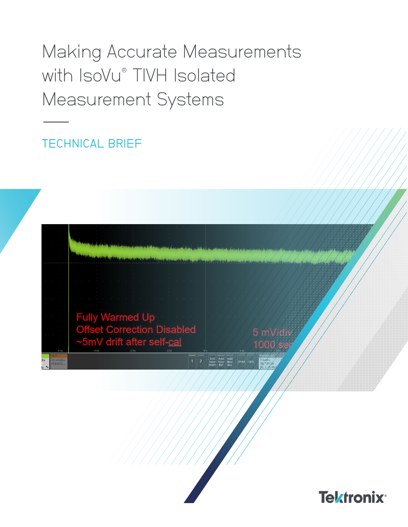# Making Accurate Measurements with IsoVu® TIVH Isolated Measurement Systems

**TECHNICAL BRIEF** 



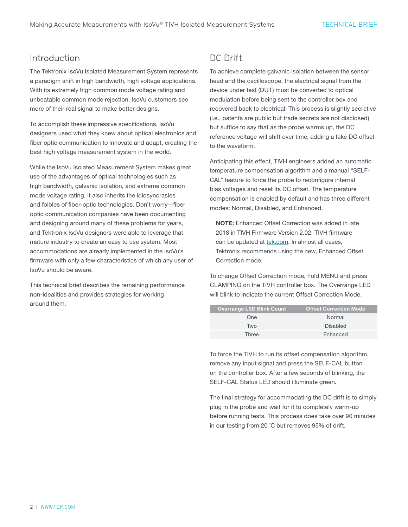### Introduction

The Tektronix IsoVu Isolated Measurement System represents a paradigm shift in high bandwidth, high voltage applications. With its extremely high common mode voltage rating and unbeatable common mode rejection, IsoVu customers see more of their real signal to make better designs.

To accomplish these impressive specifications, IsoVu designers used what they knew about optical electronics and fiber optic communication to innovate and adapt, creating the best high voltage measurement system in the world.

While the IsoVu Isolated Measurement System makes great use of the advantages of optical technologies such as high bandwidth, galvanic isolation, and extreme common mode voltage rating, it also inherits the idiosyncrasies and foibles of fiber-optic technologies. Don't worry—fiber optic communication companies have been documenting and designing around many of these problems for years, and Tektronix IsoVu designers were able to leverage that mature industry to create an easy to use system. Most accommodations are already implemented in the IsoVu's firmware with only a few characteristics of which any user of IsoVu should be aware.

This technical brief describes the remaining performance non-idealities and provides strategies for working around them.

## DC Drift

ı

To achieve complete galvanic isolation between the sensor head and the oscilloscope, the electrical signal from the device under test (DUT) must be converted to optical modulation before being sent to the controller box and recovered back to electrical. This process is slightly secretive (i.e., patents are public but trade secrets are not disclosed) but suffice to say that as the probe warms up, the DC reference voltage will shift over time, adding a fake DC offset to the waveform.

Anticipating this effect, TIVH engineers added an automatic temperature compensation algorithm and a manual "SELF-CAL" feature to force the probe to reconfigure internal bias voltages and reset its DC offset. The temperature compensation is enabled by default and has three different modes: Normal, Disabled, and Enhanced.

NOTE: Enhanced Offset Correction was added in late 2018 in TIVH Firmware Version 2.02. TIVH firmware can be updated at [tek.com.](https://www.tek.com) In almost all cases, Tektronix recommends using the new, Enhanced Offset Correction mode.

To change Offset Correction mode, hold MENU and press CLAMPING on the TIVH controller box. The Overrange LED will blink to indicate the current Offset Correction Mode.

| <b>Overrange LED Blink Count</b> | <b>Offset Correction Mode</b> |  |  |  |  |
|----------------------------------|-------------------------------|--|--|--|--|
| One                              | Normal                        |  |  |  |  |
| Two                              | <b>Disabled</b>               |  |  |  |  |
| Three                            | Enhanced                      |  |  |  |  |

To force the TIVH to run its offset compensation algorithm, remove any input signal and press the SELF-CAL button on the controller box. After a few seconds of blinking, the SELF-CAL Status LED should illuminate green.

The final strategy for accommodating the DC drift is to simply plug in the probe and wait for it to completely warm-up before running tests. This process does take over 90 minutes in our testing from 20 ˚C but removes 95% of drift.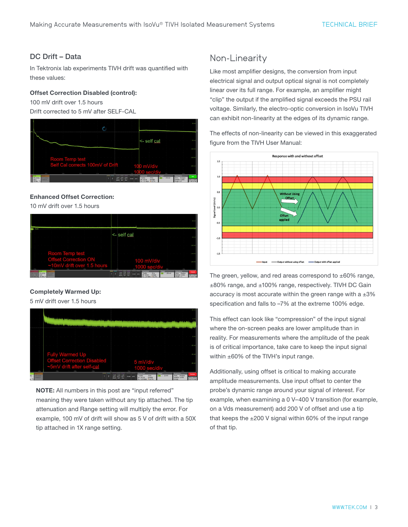#### DC Drift – Data

In Tektronix lab experiments TIVH drift was quantified with these values:

#### Offset Correction Disabled (control):

100 mV drift over 1.5 hours

Drift corrected to 5 mV after SELF-CAL



#### Enhanced Offset Correction:

10 mV drift over 1.5 hours

|                                                                                                                                                                | <- self cal<br>$\sim$                                                                                                                                                                                                                  |
|----------------------------------------------------------------------------------------------------------------------------------------------------------------|----------------------------------------------------------------------------------------------------------------------------------------------------------------------------------------------------------------------------------------|
| Room Temp test<br><b>Offset Correction ON</b>                                                                                                                  | 1003<br>$100$ mV/div                                                                                                                                                                                                                   |
| ~10mV drift over 1.5 hours<br>$-200$<br>211<br>-1 ks<br><b>Killer</b><br><b>Allen</b><br>TY<br>50 mWh Eu<br><b>NEWWORK</b><br><b>TABUCH</b><br><b>THE REAL</b> | 4k<br>3.5 <sub>0</sub><br>Triogen<br>Acquisition<br><b>Marineena</b><br>Shannon<br>$(41 \times 250 \text{ mV})$<br>10 ks<br>Auto, Analyze<br><b>Saldwa</b><br><b>CARM</b><br>Sample: 12 bits<br><b><i><i><u>ANNING THE</u></i></i></b> |

#### Completely Warmed Up:

5 mV drift over 1.5 hours



NOTE: All numbers in this post are "input referred" meaning they were taken without any tip attached. The tip attenuation and Range setting will multiply the error. For example, 100 mV of drift will show as 5 V of drift with a 50X tip attached in 1X range setting.

## Non-Linearity

Like most amplifier designs, the conversion from input electrical signal and output optical signal is not completely linear over its full range. For example, an amplifier might "clip" the output if the amplified signal exceeds the PSU rail voltage. Similarly, the electro-optic conversion in IsoVu TIVH can exhibit non-linearity at the edges of its dynamic range.

The effects of non-linearity can be viewed in this exaggerated figure from the TIVH User Manual:



The green, yellow, and red areas correspond to  $\pm 60\%$  range, ±80% range, and ±100% range, respectively. TIVH DC Gain accuracy is most accurate within the green range with a  $\pm 3\%$ specification and falls to –7% at the extreme 100% edge.

This effect can look like "compression" of the input signal where the on-screen peaks are lower amplitude than in reality. For measurements where the amplitude of the peak is of critical importance, take care to keep the input signal within ±60% of the TIVH's input range.

Additionally, using offset is critical to making accurate amplitude measurements. Use input offset to center the probe's dynamic range around your signal of interest. For example, when examining a 0 V–400 V transition (for example, on a Vds measurement) add 200 V of offset and use a tip that keeps the  $\pm 200$  V signal within 60% of the input range of that tip.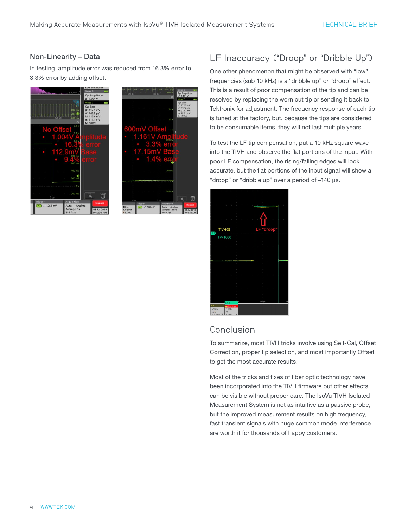#### Non-Linearity – Data

In testing, amplitude error was reduced from 16.3% error to 3.3% error by adding offset.





# LF Inaccuracy ("Droop" or "Dribble Up")

One other phenomenon that might be observed with "low" frequencies (sub 10 kHz) is a "dribble up" or "droop" effect. This is a result of poor compensation of the tip and can be resolved by replacing the worn out tip or sending it back to Tektronix for adjustment. The frequency response of each tip is tuned at the factory, but, because the tips are considered to be consumable items, they will not last multiple years.

To test the LF tip compensation, put a 10 kHz square wave into the TIVH and observe the flat portions of the input. With poor LF compensation, the rising/falling edges will look accurate, but the flat portions of the input signal will show a "droop" or "dribble up" over a period of –140 µs.

|                           | and the state of the         | ×                   | the control of the              |           |   | ×          |                         | the control of the con- |   |
|---------------------------|------------------------------|---------------------|---------------------------------|-----------|---|------------|-------------------------|-------------------------|---|
|                           |                              | ٠                   |                                 |           |   |            |                         |                         |   |
|                           |                              |                     |                                 |           |   |            |                         |                         |   |
|                           |                              |                     |                                 |           |   |            |                         |                         |   |
| $\sim$                    | $\sim$                       | ٠                   | $\sim$                          | ٠         |   |            |                         |                         |   |
|                           |                              |                     |                                 |           |   |            |                         |                         |   |
|                           |                              |                     |                                 |           |   |            |                         |                         |   |
|                           |                              | t                   |                                 |           |   |            |                         |                         |   |
| control of the<br>×       | $\sim$                       | $\bar{z}$<br>×<br>× | ×                               | $\bar{z}$ |   |            |                         |                         | × |
|                           |                              | ×                   |                                 |           |   |            |                         |                         |   |
|                           | TIVH08                       | t                   |                                 |           |   | LF "droop" |                         |                         |   |
| C <sub>8</sub>            |                              |                     |                                 |           |   |            |                         |                         |   |
|                           |                              | t                   |                                 |           |   |            |                         |                         |   |
|                           | <b>TPP1000</b>               | ı                   |                                 |           |   |            |                         |                         |   |
|                           |                              | ٠<br>٠              |                                 |           |   |            |                         |                         |   |
| control of the control    | $\lambda$                    |                     | The Contractor                  |           |   |            | $\sim$                  |                         | × |
|                           |                              | ł,                  |                                 |           |   |            |                         |                         |   |
|                           |                              | t                   |                                 |           |   |            |                         |                         |   |
|                           |                              |                     |                                 |           |   |            |                         |                         |   |
|                           |                              |                     |                                 |           |   |            | $\sim$<br>$\mathcal{L}$ |                         |   |
|                           |                              |                     |                                 |           |   |            |                         |                         |   |
|                           |                              | ł,<br>t             |                                 |           |   | à,<br>i,   |                         |                         |   |
|                           |                              |                     |                                 |           |   |            |                         |                         |   |
|                           |                              |                     | $\sim$                          | ٠         | ٠ |            | $\sim$<br>$\sim$        |                         | × |
|                           |                              | ٠                   |                                 |           |   |            |                         |                         |   |
|                           |                              | t                   |                                 |           |   |            |                         |                         |   |
|                           |                              | t                   |                                 |           |   | ł,         |                         |                         |   |
| $\sim 10^{-11}$ m $^{-1}$ | $\sim$                       | $\mathcal{C}$<br>٠  | the contract of the contract of |           |   | ٠          | $\sim$<br>$\mathcal{A}$ |                         | × |
|                           |                              | t                   |                                 |           |   | ł,         |                         |                         |   |
|                           |                              |                     |                                 |           |   |            |                         |                         |   |
|                           |                              |                     |                                 |           |   | $-60$ us   |                         |                         |   |
| Ch <sub>1</sub>           | Ch8                          |                     |                                 |           |   |            |                         |                         |   |
| 5 V/div                   | <b>A</b> Clipping<br>5 V/div |                     |                                 |           |   |            |                         |                         |   |
| $50\Omega$                | Pb.                          |                     |                                 |           |   |            |                         |                         |   |
| $R_{-}$<br>9003.8814      | 1.02114                      | R                   |                                 |           |   |            |                         |                         |   |

## Conclusion

To summarize, most TIVH tricks involve using Self-Cal, Offset Correction, proper tip selection, and most importantly Offset to get the most accurate results.

Most of the tricks and fixes of fiber optic technology have been incorporated into the TIVH firmware but other effects can be visible without proper care. The IsoVu TIVH Isolated Measurement System is not as intuitive as a passive probe, but the improved measurement results on high frequency, fast transient signals with huge common mode interference are worth it for thousands of happy customers.